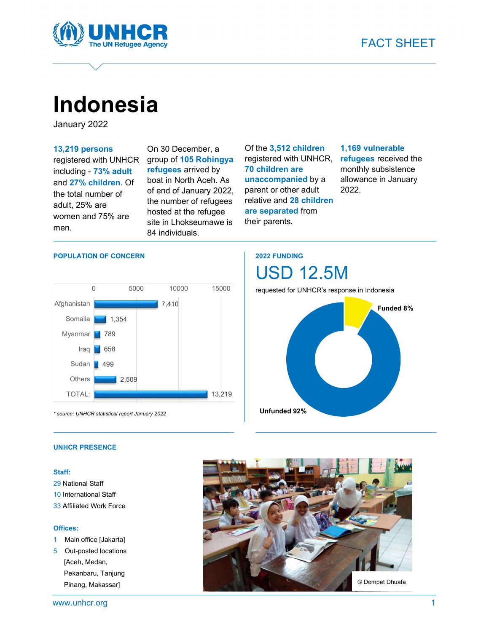

# Indonesia

January 2022

#### 13,219 persons

registered with UNHCR including - 73% adult and 27% children. Of the total number of adult, 25% are women and 75% are men.

On 30 December, a group of 105 Rohingya refugees arrived by boat in North Aceh. As of end of January 2022, the number of refugees hosted at the refugee site in Lhokseumawe is 84 individuals.

Of the 3,512 children registered with UNHCR, 70 children are unaccompanied by a parent or other adult relative and 28 children are separated from their parents.

#### 1,169 vulnerable

refugees received the monthly subsistence allowance in January 2022.



\* source: UNHCR statistical report January 2022

### 2022 FUNDING

requested for UNHCR's response in Indonesia

USD 12.5M



#### UNHCR PRESENCE

#### Staff:

- 29 National Staff
- 10 International Staff
- 33 Affiliated Work Force

#### Offices:

- 1 Main office [Jakarta]
- 5 Out-posted locations [Aceh, Medan, Pekanbaru, Tanjung Pinang, Makassar]

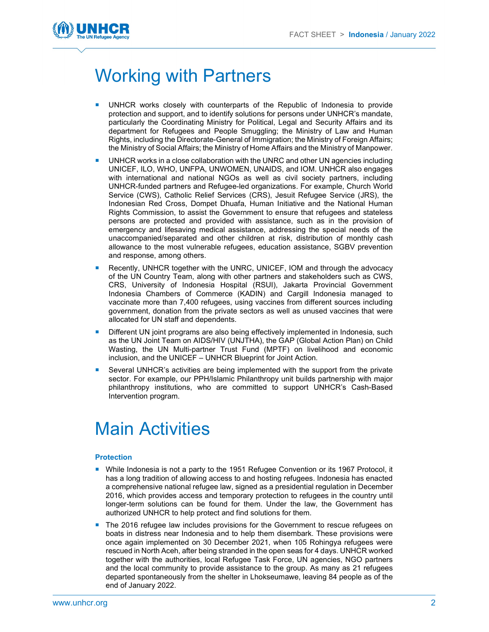

# Working with Partners

- UNHCR works closely with counterparts of the Republic of Indonesia to provide protection and support, and to identify solutions for persons under UNHCR's mandate, particularly the Coordinating Ministry for Political, Legal and Security Affairs and its department for Refugees and People Smuggling; the Ministry of Law and Human Rights, including the Directorate-General of Immigration; the Ministry of Foreign Affairs; the Ministry of Social Affairs; the Ministry of Home Affairs and the Ministry of Manpower.
- UNHCR works in a close collaboration with the UNRC and other UN agencies including UNICEF, ILO, WHO, UNFPA, UNWOMEN, UNAIDS, and IOM. UNHCR also engages with international and national NGOs as well as civil society partners, including UNHCR-funded partners and Refugee-led organizations. For example, Church World Service (CWS), Catholic Relief Services (CRS), Jesuit Refugee Service (JRS), the Indonesian Red Cross, Dompet Dhuafa, Human Initiative and the National Human Rights Commission, to assist the Government to ensure that refugees and stateless persons are protected and provided with assistance, such as in the provision of emergency and lifesaving medical assistance, addressing the special needs of the unaccompanied/separated and other children at risk, distribution of monthly cash allowance to the most vulnerable refugees, education assistance, SGBV prevention and response, among others.
- Recently, UNHCR together with the UNRC, UNICEF, IOM and through the advocacy of the UN Country Team, along with other partners and stakeholders such as CWS, CRS, University of Indonesia Hospital (RSUI), Jakarta Provincial Government Indonesia Chambers of Commerce (KADIN) and Cargill Indonesia managed to vaccinate more than 7,400 refugees, using vaccines from different sources including government, donation from the private sectors as well as unused vaccines that were allocated for UN staff and dependents.
- Different UN joint programs are also being effectively implemented in Indonesia, such as the UN Joint Team on AIDS/HIV (UNJTHA), the GAP (Global Action Plan) on Child Wasting, the UN Multi-partner Trust Fund (MPTF) on livelihood and economic inclusion, and the UNICEF – UNHCR Blueprint for Joint Action.
- Several UNHCR's activities are being implemented with the support from the private sector. For example, our PPH/Islamic Philanthropy unit builds partnership with major philanthropy institutions, who are committed to support UNHCR's Cash-Based Intervention program.

## Main Activities

#### **Protection**

- **Nile Indonesia is not a party to the 1951 Refugee Convention or its 1967 Protocol, it** has a long tradition of allowing access to and hosting refugees. Indonesia has enacted a comprehensive national refugee law, signed as a presidential regulation in December 2016, which provides access and temporary protection to refugees in the country until longer-term solutions can be found for them. Under the law, the Government has authorized UNHCR to help protect and find solutions for them.
- The 2016 refugee law includes provisions for the Government to rescue refugees on boats in distress near Indonesia and to help them disembark. These provisions were once again implemented on 30 December 2021, when 105 Rohingya refugees were rescued in North Aceh, after being stranded in the open seas for 4 days. UNHCR worked together with the authorities, local Refugee Task Force, UN agencies, NGO partners and the local community to provide assistance to the group. As many as 21 refugees departed spontaneously from the shelter in Lhokseumawe, leaving 84 people as of the end of January 2022.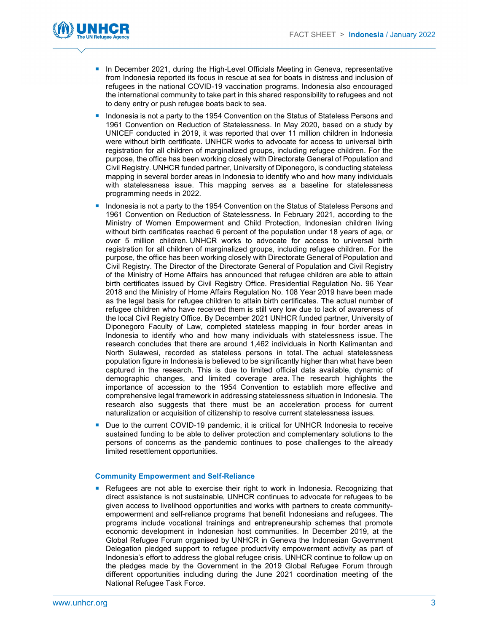

- **In December 2021, during the High-Level Officials Meeting in Geneva, representative** from Indonesia reported its focus in rescue at sea for boats in distress and inclusion of refugees in the national COVID-19 vaccination programs. Indonesia also encouraged the international community to take part in this shared responsibility to refugees and not to deny entry or push refugee boats back to sea.
- Indonesia is not a party to the 1954 Convention on the Status of Stateless Persons and 1961 Convention on Reduction of Statelessness. In May 2020, based on a study by UNICEF conducted in 2019, it was reported that over 11 million children in Indonesia were without birth certificate. UNHCR works to advocate for access to universal birth registration for all children of marginalized groups, including refugee children. For the purpose, the office has been working closely with Directorate General of Population and Civil Registry. UNHCR funded partner, University of Diponegoro, is conducting stateless mapping in several border areas in Indonesia to identify who and how many individuals with statelessness issue. This mapping serves as a baseline for statelessness programming needs in 2022.
- Indonesia is not a party to the 1954 Convention on the Status of Stateless Persons and 1961 Convention on Reduction of Statelessness. In February 2021, according to the Ministry of Women Empowerment and Child Protection, Indonesian children living without birth certificates reached 6 percent of the population under 18 years of age, or over 5 million children. UNHCR works to advocate for access to universal birth registration for all children of marginalized groups, including refugee children. For the purpose, the office has been working closely with Directorate General of Population and Civil Registry. The Director of the Directorate General of Population and Civil Registry of the Ministry of Home Affairs has announced that refugee children are able to attain birth certificates issued by Civil Registry Office. Presidential Regulation No. 96 Year 2018 and the Ministry of Home Affairs Regulation No. 108 Year 2019 have been made as the legal basis for refugee children to attain birth certificates. The actual number of refugee children who have received them is still very low due to lack of awareness of the local Civil Registry Office. By December 2021 UNHCR funded partner, University of Diponegoro Faculty of Law, completed stateless mapping in four border areas in Indonesia to identify who and how many individuals with statelessness issue. The research concludes that there are around 1,462 individuals in North Kalimantan and North Sulawesi, recorded as stateless persons in total. The actual statelessness population figure in Indonesia is believed to be significantly higher than what have been captured in the research. This is due to limited official data available, dynamic of demographic changes, and limited coverage area. The research highlights the importance of accession to the 1954 Convention to establish more effective and comprehensive legal framework in addressing statelessness situation in Indonesia. The research also suggests that there must be an acceleration process for current naturalization or acquisition of citizenship to resolve current statelessness issues.
- Due to the current COVID-19 pandemic, it is critical for UNHCR Indonesia to receive sustained funding to be able to deliver protection and complementary solutions to the persons of concerns as the pandemic continues to pose challenges to the already limited resettlement opportunities.

#### Community Empowerment and Self-Reliance

**Refugees are not able to exercise their right to work in Indonesia. Recognizing that** direct assistance is not sustainable, UNHCR continues to advocate for refugees to be given access to livelihood opportunities and works with partners to create communityempowerment and self-reliance programs that benefit Indonesians and refugees. The programs include vocational trainings and entrepreneurship schemes that promote economic development in Indonesian host communities. In December 2019, at the Global Refugee Forum organised by UNHCR in Geneva the Indonesian Government Delegation pledged support to refugee productivity empowerment activity as part of Indonesia's effort to address the global refugee crisis. UNHCR continue to follow up on the pledges made by the Government in the 2019 Global Refugee Forum through different opportunities including during the June 2021 coordination meeting of the National Refugee Task Force.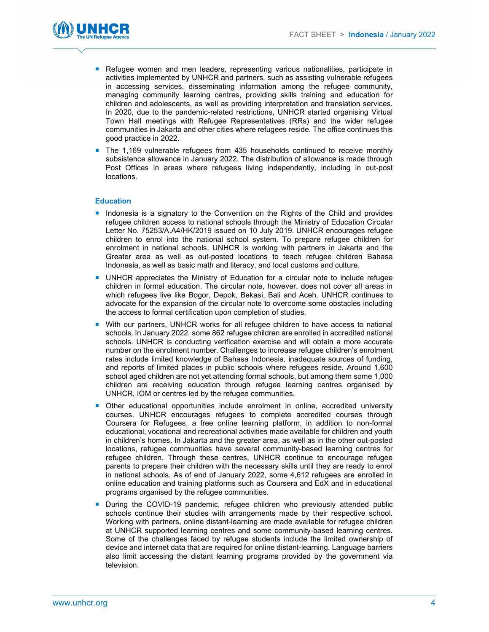

- **Refugee women and men leaders, representing various nationalities, participate in** activities implemented by UNHCR and partners, such as assisting vulnerable refugees in accessing services, disseminating information among the refugee community, managing community learning centres, providing skills training and education for children and adolescents, as well as providing interpretation and translation services. In 2020, due to the pandemic-related restrictions, UNHCR started organising Virtual Town Hall meetings with Refugee Representatives (RRs) and the wider refugee communities in Jakarta and other cities where refugees reside. The office continues this good practice in 2022.
- The 1,169 vulnerable refugees from 435 households continued to receive monthly subsistence allowance in January 2022. The distribution of allowance is made through Post Offices in areas where refugees living independently, including in out-post locations.

#### Education

- **Indonesia is a signatory to the Convention on the Rights of the Child and provides** refugee children access to national schools through the Ministry of Education Circular Letter No. 75253/A.A4/HK/2019 issued on 10 July 2019. UNHCR encourages refugee children to enrol into the national school system. To prepare refugee children for enrolment in national schools, UNHCR is working with partners in Jakarta and the Greater area as well as out-posted locations to teach refugee children Bahasa Indonesia, as well as basic math and literacy, and local customs and culture.
- UNHCR appreciates the Ministry of Education for a circular note to include refugee children in formal education. The circular note, however, does not cover all areas in which refugees live like Bogor, Depok, Bekasi, Bali and Aceh. UNHCR continues to advocate for the expansion of the circular note to overcome some obstacles including the access to formal certification upon completion of studies.
- **With our partners, UNHCR works for all refugee children to have access to national** schools. In January 2022, some 862 refugee children are enrolled in accredited national schools. UNHCR is conducting verification exercise and will obtain a more accurate number on the enrolment number. Challenges to increase refugee children's enrolment rates include limited knowledge of Bahasa Indonesia, inadequate sources of funding, and reports of limited places in public schools where refugees reside. Around 1,600 school aged children are not yet attending formal schools, but among them some 1,000 children are receiving education through refugee learning centres organised by UNHCR, IOM or centres led by the refugee communities.
- Other educational opportunities include enrolment in online, accredited university courses. UNHCR encourages refugees to complete accredited courses through Coursera for Refugees, a free online learning platform, in addition to non-formal educational, vocational and recreational activities made available for children and youth in children's homes. In Jakarta and the greater area, as well as in the other out-posted locations, refugee communities have several community-based learning centres for refugee children. Through these centres, UNHCR continue to encourage refugee parents to prepare their children with the necessary skills until they are ready to enrol in national schools. As of end of January 2022, some 4,612 refugees are enrolled in online education and training platforms such as Coursera and EdX and in educational programs organised by the refugee communities.
- During the COVID-19 pandemic, refugee children who previously attended public schools continue their studies with arrangements made by their respective school. Working with partners, online distant-learning are made available for refugee children at UNHCR supported learning centres and some community-based learning centres. Some of the challenges faced by refugee students include the limited ownership of device and internet data that are required for online distant-learning. Language barriers also limit accessing the distant learning programs provided by the government via television.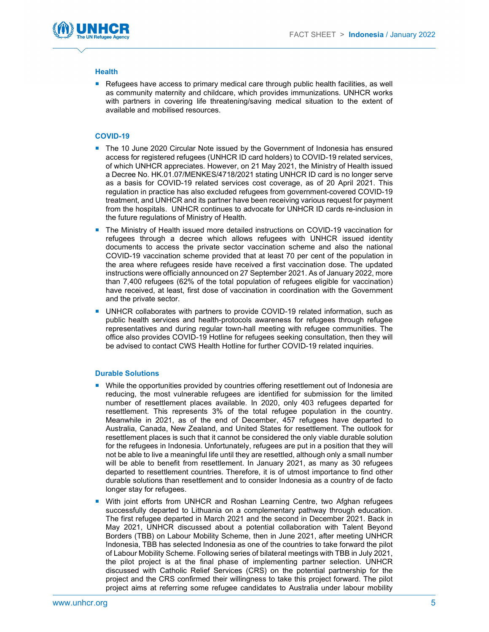

#### **Health**

Refugees have access to primary medical care through public health facilities, as well as community maternity and childcare, which provides immunizations. UNHCR works with partners in covering life threatening/saving medical situation to the extent of available and mobilised resources.

#### COVID-19

- The 10 June 2020 Circular Note issued by the Government of Indonesia has ensured access for registered refugees (UNHCR ID card holders) to COVID-19 related services, of which UNHCR appreciates. However, on 21 May 2021, the Ministry of Health issued a Decree No. HK.01.07/MENKES/4718/2021 stating UNHCR ID card is no longer serve as a basis for COVID-19 related services cost coverage, as of 20 April 2021. This regulation in practice has also excluded refugees from government-covered COVID-19 treatment, and UNHCR and its partner have been receiving various request for payment from the hospitals. UNHCR continues to advocate for UNHCR ID cards re-inclusion in the future regulations of Ministry of Health.
- The Ministry of Health issued more detailed instructions on COVID-19 vaccination for refugees through a decree which allows refugees with UNHCR issued identity documents to access the private sector vaccination scheme and also the national COVID-19 vaccination scheme provided that at least 70 per cent of the population in the area where refugees reside have received a first vaccination dose. The updated instructions were officially announced on 27 September 2021. As of January 2022, more than 7,400 refugees (62% of the total population of refugees eligible for vaccination) have received, at least, first dose of vaccination in coordination with the Government and the private sector.
- UNHCR collaborates with partners to provide COVID-19 related information, such as public health services and health-protocols awareness for refugees through refugee representatives and during regular town-hall meeting with refugee communities. The office also provides COVID-19 Hotline for refugees seeking consultation, then they will be advised to contact CWS Health Hotline for further COVID-19 related inquiries.

#### Durable Solutions

- **Nille the opportunities provided by countries offering resettlement out of Indonesia are** reducing, the most vulnerable refugees are identified for submission for the limited number of resettlement places available. In 2020, only 403 refugees departed for resettlement. This represents 3% of the total refugee population in the country. Meanwhile in 2021, as of the end of December, 457 refugees have departed to Australia, Canada, New Zealand, and United States for resettlement. The outlook for resettlement places is such that it cannot be considered the only viable durable solution for the refugees in Indonesia. Unfortunately, refugees are put in a position that they will not be able to live a meaningful life until they are resettled, although only a small number will be able to benefit from resettlement. In January 2021, as many as 30 refugees departed to resettlement countries. Therefore, it is of utmost importance to find other durable solutions than resettlement and to consider Indonesia as a country of de facto longer stay for refugees.
- **With joint efforts from UNHCR and Roshan Learning Centre, two Afghan refugees** successfully departed to Lithuania on a complementary pathway through education. The first refugee departed in March 2021 and the second in December 2021. Back in May 2021, UNHCR discussed about a potential collaboration with Talent Beyond Borders (TBB) on Labour Mobility Scheme, then in June 2021, after meeting UNHCR Indonesia, TBB has selected Indonesia as one of the countries to take forward the pilot of Labour Mobility Scheme. Following series of bilateral meetings with TBB in July 2021, the pilot project is at the final phase of implementing partner selection. UNHCR discussed with Catholic Relief Services (CRS) on the potential partnership for the project and the CRS confirmed their willingness to take this project forward. The pilot project aims at referring some refugee candidates to Australia under labour mobility